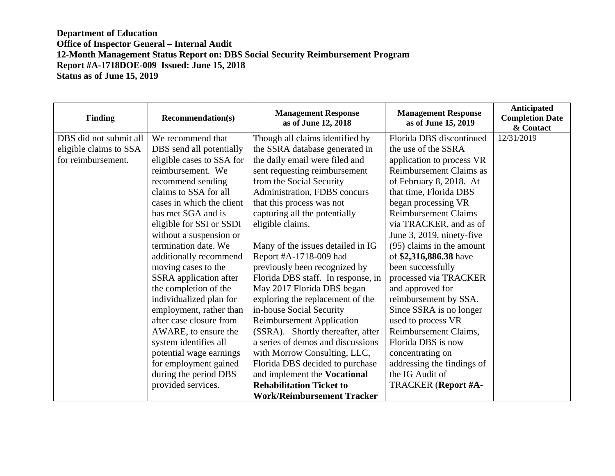| <b>Finding</b>         | <b>Recommendation(s)</b>  | <b>Management Response</b><br>as of June 12, 2018 | <b>Management Response</b><br>as of June 15, 2019 | Anticipated<br><b>Completion Date</b><br>& Contact |
|------------------------|---------------------------|---------------------------------------------------|---------------------------------------------------|----------------------------------------------------|
| DBS did not submit all | We recommend that         | Though all claims identified by                   | Florida DBS discontinued                          | 12/31/2019                                         |
| eligible claims to SSA | DBS send all potentially  | the SSRA database generated in                    | the use of the SSRA                               |                                                    |
| for reimbursement.     | eligible cases to SSA for | the daily email were filed and                    | application to process VR                         |                                                    |
|                        | reimbursement. We         | sent requesting reimbursement                     | Reimbursement Claims as                           |                                                    |
|                        | recommend sending         | from the Social Security                          | of February 8, 2018. At                           |                                                    |
|                        | claims to SSA for all     | Administration, FDBS concurs                      | that time, Florida DBS                            |                                                    |
|                        | cases in which the client | that this process was not                         | began processing VR                               |                                                    |
|                        | has met SGA and is        | capturing all the potentially                     | <b>Reimbursement Claims</b>                       |                                                    |
|                        | eligible for SSI or SSDI  | eligible claims.                                  | via TRACKER, and as of                            |                                                    |
|                        | without a suspension or   |                                                   | June 3, 2019, ninety-five                         |                                                    |
|                        | termination date. We      | Many of the issues detailed in IG                 | (95) claims in the amount                         |                                                    |
|                        | additionally recommend    | Report #A-1718-009 had                            | of \$2,316,886.38 have                            |                                                    |
|                        | moving cases to the       | previously been recognized by                     | been successfully                                 |                                                    |
|                        | SSRA application after    | Florida DBS staff. In response, in                | processed via TRACKER                             |                                                    |
|                        | the completion of the     | May 2017 Florida DBS began                        | and approved for                                  |                                                    |
|                        | individualized plan for   | exploring the replacement of the                  | reimbursement by SSA.                             |                                                    |
|                        | employment, rather than   | in-house Social Security                          | Since SSRA is no longer                           |                                                    |
|                        | after case closure from   | <b>Reimbursement Application</b>                  | used to process VR                                |                                                    |
|                        | AWARE, to ensure the      | (SSRA). Shortly thereafter, after                 | Reimbursement Claims,                             |                                                    |
|                        | system identifies all     | a series of demos and discussions                 | Florida DBS is now                                |                                                    |
|                        | potential wage earnings   | with Morrow Consulting, LLC,                      | concentrating on                                  |                                                    |
|                        | for employment gained     | Florida DBS decided to purchase                   | addressing the findings of                        |                                                    |
|                        | during the period DBS     | and implement the Vocational                      | the IG Audit of                                   |                                                    |
|                        | provided services.        | <b>Rehabilitation Ticket to</b>                   | <b>TRACKER</b> (Report #A-                        |                                                    |
|                        |                           | <b>Work/Reimbursement Tracker</b>                 |                                                   |                                                    |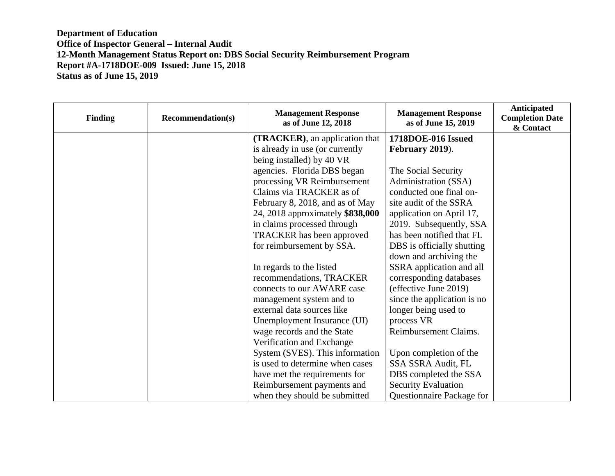| <b>Finding</b> | <b>Recommendation(s)</b> | <b>Management Response</b><br>as of June 12, 2018 | <b>Management Response</b><br>as of June 15, 2019 | <b>Anticipated</b><br><b>Completion Date</b><br>& Contact |
|----------------|--------------------------|---------------------------------------------------|---------------------------------------------------|-----------------------------------------------------------|
|                |                          | (TRACKER), an application that                    | 1718DOE-016 Issued                                |                                                           |
|                |                          | is already in use (or currently                   | February 2019).                                   |                                                           |
|                |                          | being installed) by 40 VR                         |                                                   |                                                           |
|                |                          | agencies. Florida DBS began                       | The Social Security                               |                                                           |
|                |                          | processing VR Reimbursement                       | Administration (SSA)                              |                                                           |
|                |                          | Claims via TRACKER as of                          | conducted one final on-                           |                                                           |
|                |                          | February 8, 2018, and as of May                   | site audit of the SSRA                            |                                                           |
|                |                          | 24, 2018 approximately \$838,000                  | application on April 17,                          |                                                           |
|                |                          | in claims processed through                       | 2019. Subsequently, SSA                           |                                                           |
|                |                          | <b>TRACKER</b> has been approved                  | has been notified that FL                         |                                                           |
|                |                          | for reimbursement by SSA.                         | DBS is officially shutting                        |                                                           |
|                |                          |                                                   | down and archiving the                            |                                                           |
|                |                          | In regards to the listed                          | SSRA application and all                          |                                                           |
|                |                          | recommendations, TRACKER                          | corresponding databases                           |                                                           |
|                |                          | connects to our AWARE case                        | (effective June 2019)                             |                                                           |
|                |                          | management system and to                          | since the application is no                       |                                                           |
|                |                          | external data sources like                        | longer being used to                              |                                                           |
|                |                          | Unemployment Insurance (UI)                       | process VR                                        |                                                           |
|                |                          | wage records and the State                        | Reimbursement Claims.                             |                                                           |
|                |                          | Verification and Exchange                         |                                                   |                                                           |
|                |                          | System (SVES). This information                   | Upon completion of the                            |                                                           |
|                |                          | is used to determine when cases                   | SSA SSRA Audit, FL                                |                                                           |
|                |                          | have met the requirements for                     | DBS completed the SSA                             |                                                           |
|                |                          | Reimbursement payments and                        | <b>Security Evaluation</b>                        |                                                           |
|                |                          | when they should be submitted                     | Questionnaire Package for                         |                                                           |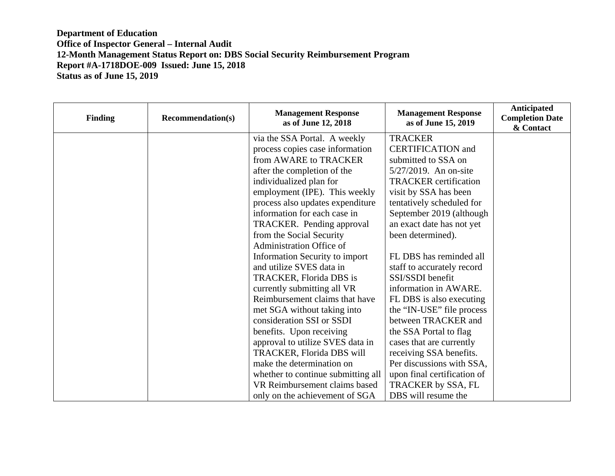| <b>Finding</b> | <b>Recommendation(s)</b> | <b>Management Response</b><br>as of June 12, 2018 | <b>Management Response</b><br>as of June 15, 2019 | Anticipated<br><b>Completion Date</b><br>& Contact |
|----------------|--------------------------|---------------------------------------------------|---------------------------------------------------|----------------------------------------------------|
|                |                          | via the SSA Portal. A weekly                      | <b>TRACKER</b>                                    |                                                    |
|                |                          | process copies case information                   | <b>CERTIFICATION</b> and                          |                                                    |
|                |                          | from AWARE to TRACKER                             | submitted to SSA on                               |                                                    |
|                |                          | after the completion of the                       | $5/27/2019$ . An on-site                          |                                                    |
|                |                          | individualized plan for                           | <b>TRACKER</b> certification                      |                                                    |
|                |                          | employment (IPE). This weekly                     | visit by SSA has been                             |                                                    |
|                |                          | process also updates expenditure                  | tentatively scheduled for                         |                                                    |
|                |                          | information for each case in                      | September 2019 (although                          |                                                    |
|                |                          | TRACKER. Pending approval                         | an exact date has not yet                         |                                                    |
|                |                          | from the Social Security                          | been determined).                                 |                                                    |
|                |                          | <b>Administration Office of</b>                   |                                                   |                                                    |
|                |                          | Information Security to import                    | FL DBS has reminded all                           |                                                    |
|                |                          | and utilize SVES data in                          | staff to accurately record                        |                                                    |
|                |                          | TRACKER, Florida DBS is                           | SSI/SSDI benefit                                  |                                                    |
|                |                          | currently submitting all VR                       | information in AWARE.                             |                                                    |
|                |                          | Reimbursement claims that have                    | FL DBS is also executing                          |                                                    |
|                |                          | met SGA without taking into                       | the "IN-USE" file process                         |                                                    |
|                |                          | consideration SSI or SSDI                         | between TRACKER and                               |                                                    |
|                |                          | benefits. Upon receiving                          | the SSA Portal to flag                            |                                                    |
|                |                          | approval to utilize SVES data in                  | cases that are currently                          |                                                    |
|                |                          | TRACKER, Florida DBS will                         | receiving SSA benefits.                           |                                                    |
|                |                          | make the determination on                         | Per discussions with SSA,                         |                                                    |
|                |                          | whether to continue submitting all                | upon final certification of                       |                                                    |
|                |                          | VR Reimbursement claims based                     | TRACKER by SSA, FL                                |                                                    |
|                |                          | only on the achievement of SGA                    | DBS will resume the                               |                                                    |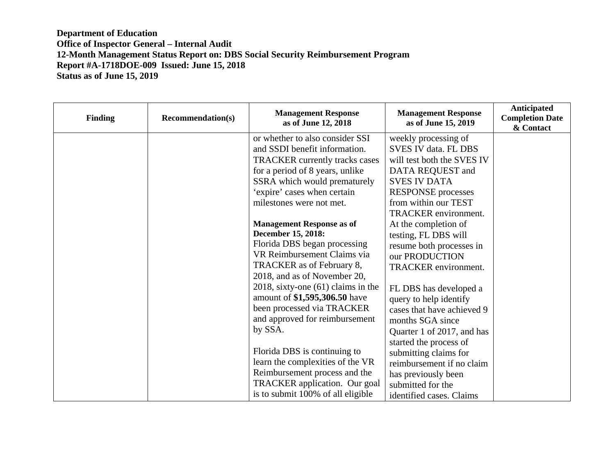| <b>Finding</b> | <b>Recommendation(s)</b> | <b>Management Response</b><br>as of June 12, 2018 | <b>Management Response</b><br>as of June 15, 2019 | Anticipated<br><b>Completion Date</b><br>& Contact |
|----------------|--------------------------|---------------------------------------------------|---------------------------------------------------|----------------------------------------------------|
|                |                          | or whether to also consider SSI                   | weekly processing of                              |                                                    |
|                |                          | and SSDI benefit information.                     | SVES IV data. FL DBS                              |                                                    |
|                |                          | <b>TRACKER</b> currently tracks cases             | will test both the SVES IV                        |                                                    |
|                |                          | for a period of 8 years, unlike                   | DATA REQUEST and                                  |                                                    |
|                |                          | SSRA which would prematurely                      | <b>SVES IV DATA</b>                               |                                                    |
|                |                          | 'expire' cases when certain                       | <b>RESPONSE</b> processes                         |                                                    |
|                |                          | milestones were not met.                          | from within our TEST                              |                                                    |
|                |                          |                                                   | TRACKER environment.                              |                                                    |
|                |                          | <b>Management Response as of</b>                  | At the completion of                              |                                                    |
|                |                          | December 15, 2018:                                | testing, FL DBS will                              |                                                    |
|                |                          | Florida DBS began processing                      | resume both processes in                          |                                                    |
|                |                          | VR Reimbursement Claims via                       | our PRODUCTION                                    |                                                    |
|                |                          | TRACKER as of February 8,                         | TRACKER environment.                              |                                                    |
|                |                          | 2018, and as of November 20,                      |                                                   |                                                    |
|                |                          | $2018$ , sixty-one $(61)$ claims in the           | FL DBS has developed a                            |                                                    |
|                |                          | amount of \$1,595,306.50 have                     | query to help identify                            |                                                    |
|                |                          | been processed via TRACKER                        | cases that have achieved 9                        |                                                    |
|                |                          | and approved for reimbursement                    | months SGA since                                  |                                                    |
|                |                          | by SSA.                                           | Quarter 1 of 2017, and has                        |                                                    |
|                |                          |                                                   | started the process of                            |                                                    |
|                |                          | Florida DBS is continuing to                      | submitting claims for                             |                                                    |
|                |                          | learn the complexities of the VR                  | reimbursement if no claim                         |                                                    |
|                |                          | Reimbursement process and the                     | has previously been                               |                                                    |
|                |                          | TRACKER application. Our goal                     | submitted for the                                 |                                                    |
|                |                          | is to submit 100% of all eligible                 | identified cases. Claims                          |                                                    |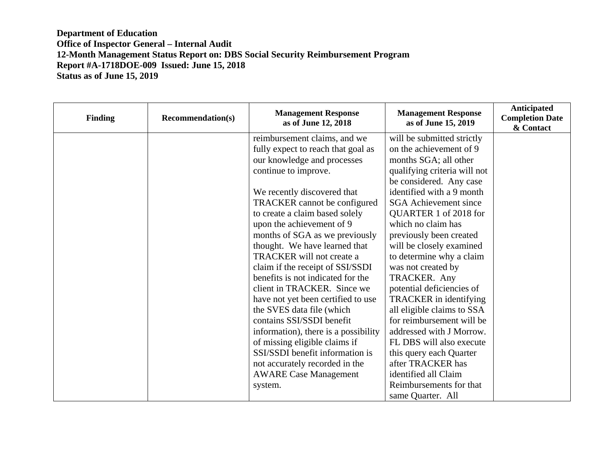| <b>Finding</b> | <b>Recommendation(s)</b> | <b>Management Response</b><br>as of June 12, 2018 | <b>Management Response</b><br>as of June 15, 2019 | Anticipated<br><b>Completion Date</b><br>& Contact |
|----------------|--------------------------|---------------------------------------------------|---------------------------------------------------|----------------------------------------------------|
|                |                          | reimbursement claims, and we                      | will be submitted strictly                        |                                                    |
|                |                          | fully expect to reach that goal as                | on the achievement of 9                           |                                                    |
|                |                          | our knowledge and processes                       | months SGA; all other                             |                                                    |
|                |                          | continue to improve.                              | qualifying criteria will not                      |                                                    |
|                |                          |                                                   | be considered. Any case                           |                                                    |
|                |                          | We recently discovered that                       | identified with a 9 month                         |                                                    |
|                |                          | TRACKER cannot be configured                      | <b>SGA</b> Achievement since                      |                                                    |
|                |                          | to create a claim based solely                    | QUARTER 1 of 2018 for                             |                                                    |
|                |                          | upon the achievement of 9                         | which no claim has                                |                                                    |
|                |                          | months of SGA as we previously                    | previously been created                           |                                                    |
|                |                          | thought. We have learned that                     | will be closely examined                          |                                                    |
|                |                          | TRACKER will not create a                         | to determine why a claim                          |                                                    |
|                |                          | claim if the receipt of SSI/SSDI                  | was not created by                                |                                                    |
|                |                          | benefits is not indicated for the                 | TRACKER. Any                                      |                                                    |
|                |                          | client in TRACKER. Since we                       | potential deficiencies of                         |                                                    |
|                |                          | have not yet been certified to use                | TRACKER in identifying                            |                                                    |
|                |                          | the SVES data file (which                         | all eligible claims to SSA                        |                                                    |
|                |                          | contains SSI/SSDI benefit                         | for reimbursement will be                         |                                                    |
|                |                          | information), there is a possibility              | addressed with J Morrow.                          |                                                    |
|                |                          | of missing eligible claims if                     | FL DBS will also execute                          |                                                    |
|                |                          | SSI/SSDI benefit information is                   | this query each Quarter                           |                                                    |
|                |                          | not accurately recorded in the                    | after TRACKER has                                 |                                                    |
|                |                          | <b>AWARE Case Management</b>                      | identified all Claim                              |                                                    |
|                |                          | system.                                           | Reimbursements for that                           |                                                    |
|                |                          |                                                   | same Quarter. All                                 |                                                    |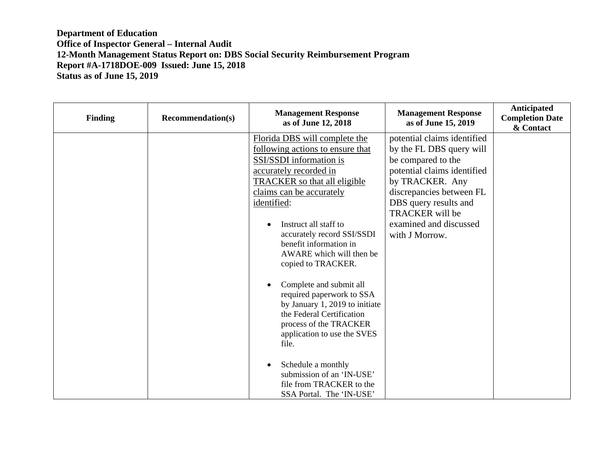| <b>Finding</b> | <b>Recommendation(s)</b> | <b>Management Response</b><br>as of June 12, 2018                                                                                                                                                                                                                                                                                                                                                                                                                                                                                                                                                                                               | <b>Management Response</b><br>as of June 15, 2019                                                                                                                                                                                                          | Anticipated<br><b>Completion Date</b><br>& Contact |
|----------------|--------------------------|-------------------------------------------------------------------------------------------------------------------------------------------------------------------------------------------------------------------------------------------------------------------------------------------------------------------------------------------------------------------------------------------------------------------------------------------------------------------------------------------------------------------------------------------------------------------------------------------------------------------------------------------------|------------------------------------------------------------------------------------------------------------------------------------------------------------------------------------------------------------------------------------------------------------|----------------------------------------------------|
|                |                          | Florida DBS will complete the<br>following actions to ensure that<br>SSI/SSDI information is<br>accurately recorded in<br><b>TRACKER</b> so that all eligible<br>claims can be accurately<br>identified:<br>Instruct all staff to<br>accurately record SSI/SSDI<br>benefit information in<br>AWARE which will then be<br>copied to TRACKER.<br>Complete and submit all<br>required paperwork to SSA<br>by January 1, 2019 to initiate<br>the Federal Certification<br>process of the TRACKER<br>application to use the SVES<br>file.<br>Schedule a monthly<br>submission of an 'IN-USE'<br>file from TRACKER to the<br>SSA Portal. The 'IN-USE' | potential claims identified<br>by the FL DBS query will<br>be compared to the<br>potential claims identified<br>by TRACKER. Any<br>discrepancies between FL<br>DBS query results and<br><b>TRACKER</b> will be<br>examined and discussed<br>with J Morrow. |                                                    |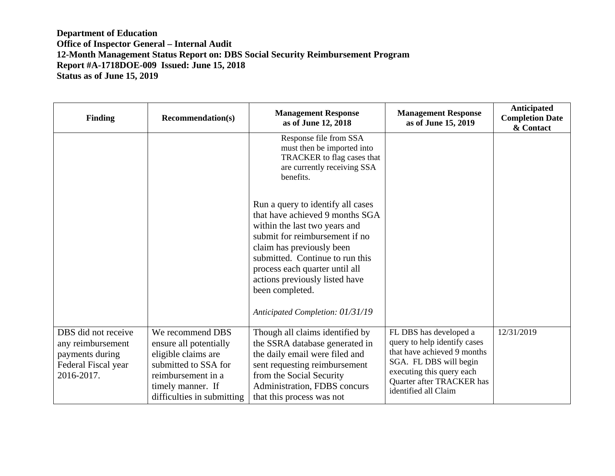| <b>Finding</b>                                                                                   | <b>Recommendation(s)</b>                                                                                                                                           | <b>Management Response</b><br>as of June 12, 2018                                                                                                                                                                                                                                              | <b>Management Response</b><br>as of June 15, 2019                                                                                                                                                 | Anticipated<br><b>Completion Date</b><br>& Contact |
|--------------------------------------------------------------------------------------------------|--------------------------------------------------------------------------------------------------------------------------------------------------------------------|------------------------------------------------------------------------------------------------------------------------------------------------------------------------------------------------------------------------------------------------------------------------------------------------|---------------------------------------------------------------------------------------------------------------------------------------------------------------------------------------------------|----------------------------------------------------|
|                                                                                                  |                                                                                                                                                                    | Response file from SSA<br>must then be imported into<br>TRACKER to flag cases that<br>are currently receiving SSA<br>benefits.                                                                                                                                                                 |                                                                                                                                                                                                   |                                                    |
|                                                                                                  |                                                                                                                                                                    | Run a query to identify all cases<br>that have achieved 9 months SGA<br>within the last two years and<br>submit for reimbursement if no<br>claim has previously been<br>submitted. Continue to run this<br>process each quarter until all<br>actions previously listed have<br>been completed. |                                                                                                                                                                                                   |                                                    |
|                                                                                                  |                                                                                                                                                                    | Anticipated Completion: 01/31/19                                                                                                                                                                                                                                                               |                                                                                                                                                                                                   |                                                    |
| DBS did not receive<br>any reimbursement<br>payments during<br>Federal Fiscal year<br>2016-2017. | We recommend DBS<br>ensure all potentially<br>eligible claims are<br>submitted to SSA for<br>reimbursement in a<br>timely manner. If<br>difficulties in submitting | Though all claims identified by<br>the SSRA database generated in<br>the daily email were filed and<br>sent requesting reimbursement<br>from the Social Security<br>Administration, FDBS concurs<br>that this process was not                                                                  | FL DBS has developed a<br>query to help identify cases<br>that have achieved 9 months<br>SGA. FL DBS will begin<br>executing this query each<br>Quarter after TRACKER has<br>identified all Claim | 12/31/2019                                         |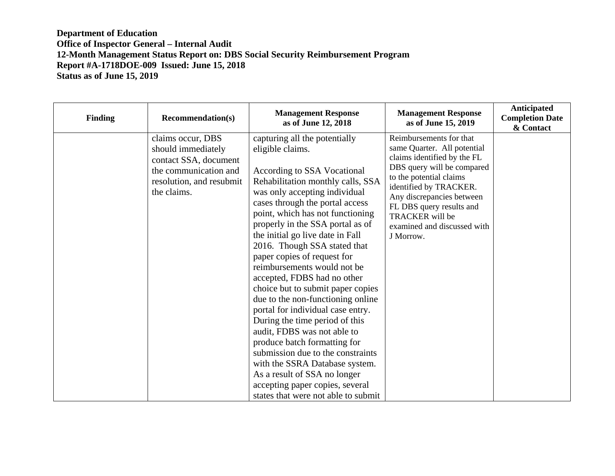| <b>Finding</b> | <b>Recommendation(s)</b>                                                                                                             | <b>Management Response</b><br>as of June 12, 2018                                                                                                                                                                                                                                                                                                                                                                                                                                                                                                                                                                                                                                                                                                                                                                                   | <b>Management Response</b><br>as of June 15, 2019                                                                                                                                                                                                                                                       | Anticipated<br><b>Completion Date</b><br>& Contact |
|----------------|--------------------------------------------------------------------------------------------------------------------------------------|-------------------------------------------------------------------------------------------------------------------------------------------------------------------------------------------------------------------------------------------------------------------------------------------------------------------------------------------------------------------------------------------------------------------------------------------------------------------------------------------------------------------------------------------------------------------------------------------------------------------------------------------------------------------------------------------------------------------------------------------------------------------------------------------------------------------------------------|---------------------------------------------------------------------------------------------------------------------------------------------------------------------------------------------------------------------------------------------------------------------------------------------------------|----------------------------------------------------|
|                | claims occur, DBS<br>should immediately<br>contact SSA, document<br>the communication and<br>resolution, and resubmit<br>the claims. | capturing all the potentially<br>eligible claims.<br>According to SSA Vocational<br>Rehabilitation monthly calls, SSA<br>was only accepting individual<br>cases through the portal access<br>point, which has not functioning<br>properly in the SSA portal as of<br>the initial go live date in Fall<br>2016. Though SSA stated that<br>paper copies of request for<br>reimbursements would not be<br>accepted, FDBS had no other<br>choice but to submit paper copies<br>due to the non-functioning online<br>portal for individual case entry.<br>During the time period of this<br>audit, FDBS was not able to<br>produce batch formatting for<br>submission due to the constraints<br>with the SSRA Database system.<br>As a result of SSA no longer<br>accepting paper copies, several<br>states that were not able to submit | Reimbursements for that<br>same Quarter. All potential<br>claims identified by the FL<br>DBS query will be compared<br>to the potential claims<br>identified by TRACKER.<br>Any discrepancies between<br>FL DBS query results and<br><b>TRACKER</b> will be<br>examined and discussed with<br>J Morrow. |                                                    |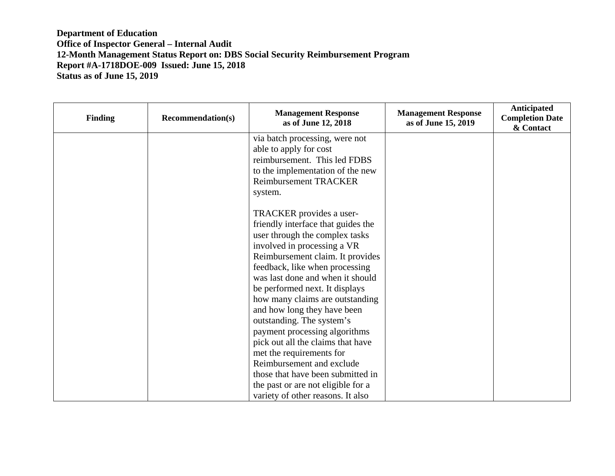| <b>Finding</b> | <b>Recommendation(s)</b> | <b>Management Response</b><br>as of June 12, 2018 | <b>Management Response</b><br>as of June 15, 2019 | Anticipated<br><b>Completion Date</b><br>& Contact |
|----------------|--------------------------|---------------------------------------------------|---------------------------------------------------|----------------------------------------------------|
|                |                          | via batch processing, were not                    |                                                   |                                                    |
|                |                          | able to apply for cost                            |                                                   |                                                    |
|                |                          | reimbursement. This led FDBS                      |                                                   |                                                    |
|                |                          | to the implementation of the new                  |                                                   |                                                    |
|                |                          | <b>Reimbursement TRACKER</b>                      |                                                   |                                                    |
|                |                          | system.                                           |                                                   |                                                    |
|                |                          |                                                   |                                                   |                                                    |
|                |                          | TRACKER provides a user-                          |                                                   |                                                    |
|                |                          | friendly interface that guides the                |                                                   |                                                    |
|                |                          | user through the complex tasks                    |                                                   |                                                    |
|                |                          | involved in processing a VR                       |                                                   |                                                    |
|                |                          | Reimbursement claim. It provides                  |                                                   |                                                    |
|                |                          | feedback, like when processing                    |                                                   |                                                    |
|                |                          | was last done and when it should                  |                                                   |                                                    |
|                |                          | be performed next. It displays                    |                                                   |                                                    |
|                |                          | how many claims are outstanding                   |                                                   |                                                    |
|                |                          | and how long they have been                       |                                                   |                                                    |
|                |                          | outstanding. The system's                         |                                                   |                                                    |
|                |                          | payment processing algorithms                     |                                                   |                                                    |
|                |                          | pick out all the claims that have                 |                                                   |                                                    |
|                |                          | met the requirements for                          |                                                   |                                                    |
|                |                          | Reimbursement and exclude                         |                                                   |                                                    |
|                |                          | those that have been submitted in                 |                                                   |                                                    |
|                |                          | the past or are not eligible for a                |                                                   |                                                    |
|                |                          | variety of other reasons. It also                 |                                                   |                                                    |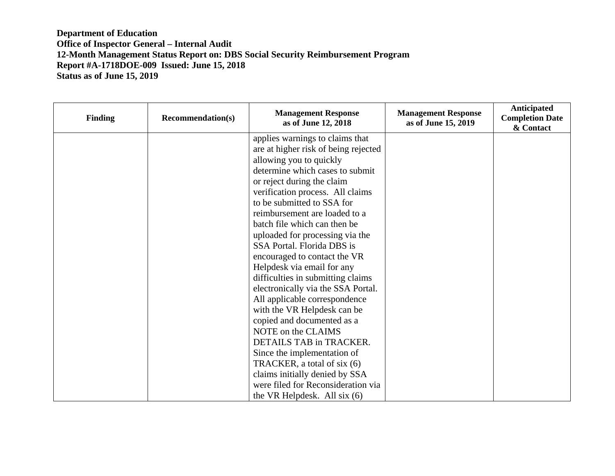| <b>Finding</b> | <b>Recommendation(s)</b> | <b>Management Response</b><br>as of June 12, 2018 | <b>Management Response</b><br>as of June 15, 2019 | Anticipated<br><b>Completion Date</b><br>& Contact |
|----------------|--------------------------|---------------------------------------------------|---------------------------------------------------|----------------------------------------------------|
|                |                          | applies warnings to claims that                   |                                                   |                                                    |
|                |                          | are at higher risk of being rejected              |                                                   |                                                    |
|                |                          | allowing you to quickly                           |                                                   |                                                    |
|                |                          | determine which cases to submit                   |                                                   |                                                    |
|                |                          | or reject during the claim                        |                                                   |                                                    |
|                |                          | verification process. All claims                  |                                                   |                                                    |
|                |                          | to be submitted to SSA for                        |                                                   |                                                    |
|                |                          | reimbursement are loaded to a                     |                                                   |                                                    |
|                |                          | batch file which can then be                      |                                                   |                                                    |
|                |                          | uploaded for processing via the                   |                                                   |                                                    |
|                |                          | SSA Portal. Florida DBS is                        |                                                   |                                                    |
|                |                          | encouraged to contact the VR                      |                                                   |                                                    |
|                |                          | Helpdesk via email for any                        |                                                   |                                                    |
|                |                          | difficulties in submitting claims                 |                                                   |                                                    |
|                |                          | electronically via the SSA Portal.                |                                                   |                                                    |
|                |                          | All applicable correspondence                     |                                                   |                                                    |
|                |                          | with the VR Helpdesk can be                       |                                                   |                                                    |
|                |                          | copied and documented as a                        |                                                   |                                                    |
|                |                          | NOTE on the CLAIMS                                |                                                   |                                                    |
|                |                          | DETAILS TAB in TRACKER.                           |                                                   |                                                    |
|                |                          | Since the implementation of                       |                                                   |                                                    |
|                |                          | TRACKER, a total of six (6)                       |                                                   |                                                    |
|                |                          | claims initially denied by SSA                    |                                                   |                                                    |
|                |                          | were filed for Reconsideration via                |                                                   |                                                    |
|                |                          | the VR Helpdesk. All six $(6)$                    |                                                   |                                                    |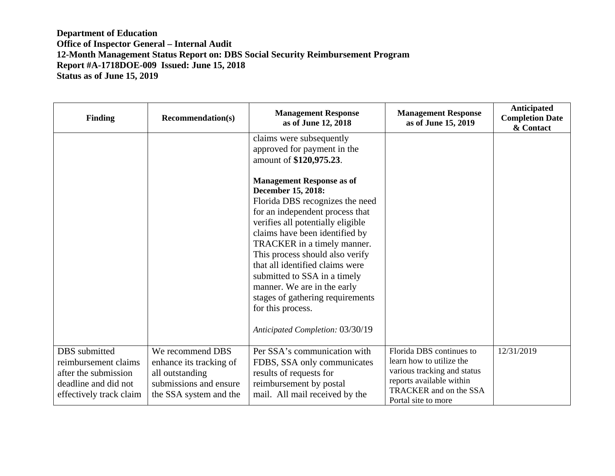| <b>Finding</b>                                                                                                   | <b>Recommendation(s)</b>                                                                                           | <b>Management Response</b><br>as of June 12, 2018                                                                                                                                                                                                                                                                                                                                                                                                                    | <b>Management Response</b><br>as of June 15, 2019                                                                                                                | Anticipated<br><b>Completion Date</b><br>& Contact |
|------------------------------------------------------------------------------------------------------------------|--------------------------------------------------------------------------------------------------------------------|----------------------------------------------------------------------------------------------------------------------------------------------------------------------------------------------------------------------------------------------------------------------------------------------------------------------------------------------------------------------------------------------------------------------------------------------------------------------|------------------------------------------------------------------------------------------------------------------------------------------------------------------|----------------------------------------------------|
|                                                                                                                  |                                                                                                                    | claims were subsequently<br>approved for payment in the<br>amount of \$120,975.23.                                                                                                                                                                                                                                                                                                                                                                                   |                                                                                                                                                                  |                                                    |
|                                                                                                                  |                                                                                                                    | <b>Management Response as of</b><br>December 15, 2018:<br>Florida DBS recognizes the need<br>for an independent process that<br>verifies all potentially eligible<br>claims have been identified by<br>TRACKER in a timely manner.<br>This process should also verify<br>that all identified claims were<br>submitted to SSA in a timely<br>manner. We are in the early<br>stages of gathering requirements<br>for this process.<br>Anticipated Completion: 03/30/19 |                                                                                                                                                                  |                                                    |
| DBS submitted<br>reimbursement claims<br>after the submission<br>deadline and did not<br>effectively track claim | We recommend DBS<br>enhance its tracking of<br>all outstanding<br>submissions and ensure<br>the SSA system and the | Per SSA's communication with<br>FDBS, SSA only communicates<br>results of requests for<br>reimbursement by postal<br>mail. All mail received by the                                                                                                                                                                                                                                                                                                                  | Florida DBS continues to<br>learn how to utilize the<br>various tracking and status<br>reports available within<br>TRACKER and on the SSA<br>Portal site to more | 12/31/2019                                         |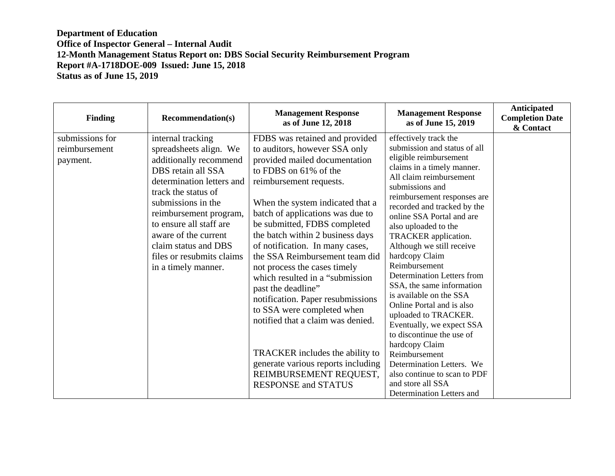| <b>Finding</b>                               | <b>Recommendation(s)</b>                                                                                                                                                                                                                                                                                                       | <b>Management Response</b><br>as of June 12, 2018                                                                                                                                                                                                                                                                                                                                                                                                                                                                                                                                                                                                                                                        | <b>Management Response</b><br>as of June 15, 2019                                                                                                                                                                                                                                                                                                                                                                                                                                                                                                                                                                                                                                                                                    | Anticipated<br><b>Completion Date</b><br>& Contact |
|----------------------------------------------|--------------------------------------------------------------------------------------------------------------------------------------------------------------------------------------------------------------------------------------------------------------------------------------------------------------------------------|----------------------------------------------------------------------------------------------------------------------------------------------------------------------------------------------------------------------------------------------------------------------------------------------------------------------------------------------------------------------------------------------------------------------------------------------------------------------------------------------------------------------------------------------------------------------------------------------------------------------------------------------------------------------------------------------------------|--------------------------------------------------------------------------------------------------------------------------------------------------------------------------------------------------------------------------------------------------------------------------------------------------------------------------------------------------------------------------------------------------------------------------------------------------------------------------------------------------------------------------------------------------------------------------------------------------------------------------------------------------------------------------------------------------------------------------------------|----------------------------------------------------|
| submissions for<br>reimbursement<br>payment. | internal tracking<br>spreadsheets align. We<br>additionally recommend<br>DBS retain all SSA<br>determination letters and<br>track the status of<br>submissions in the<br>reimbursement program,<br>to ensure all staff are<br>aware of the current<br>claim status and DBS<br>files or resubmits claims<br>in a timely manner. | FDBS was retained and provided<br>to auditors, however SSA only<br>provided mailed documentation<br>to FDBS on 61% of the<br>reimbursement requests.<br>When the system indicated that a<br>batch of applications was due to<br>be submitted, FDBS completed<br>the batch within 2 business days<br>of notification. In many cases,<br>the SSA Reimbursement team did<br>not process the cases timely<br>which resulted in a "submission"<br>past the deadline"<br>notification. Paper resubmissions<br>to SSA were completed when<br>notified that a claim was denied.<br>TRACKER includes the ability to<br>generate various reports including<br>REIMBURSEMENT REQUEST,<br><b>RESPONSE and STATUS</b> | effectively track the<br>submission and status of all<br>eligible reimbursement<br>claims in a timely manner.<br>All claim reimbursement<br>submissions and<br>reimbursement responses are<br>recorded and tracked by the<br>online SSA Portal and are<br>also uploaded to the<br>TRACKER application.<br>Although we still receive<br>hardcopy Claim<br>Reimbursement<br><b>Determination Letters from</b><br>SSA, the same information<br>is available on the SSA<br>Online Portal and is also<br>uploaded to TRACKER.<br>Eventually, we expect SSA<br>to discontinue the use of<br>hardcopy Claim<br>Reimbursement<br>Determination Letters. We<br>also continue to scan to PDF<br>and store all SSA<br>Determination Letters and |                                                    |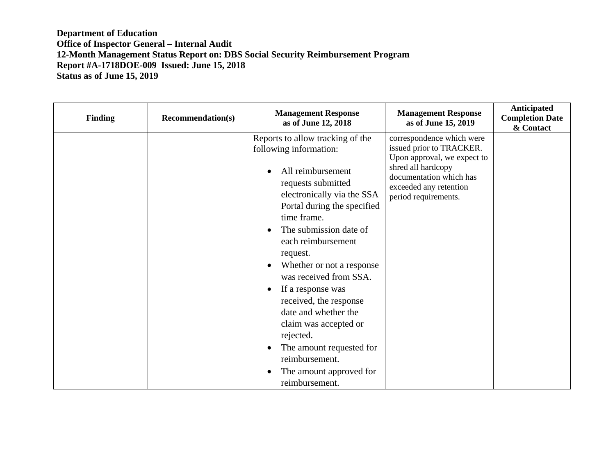| <b>Finding</b> | <b>Recommendation(s)</b> | <b>Management Response</b><br>as of June 12, 2018                                                                                                                                                                                                                                                                                                                                                                                                                                                                         | <b>Management Response</b><br>as of June 15, 2019                                                                                                                                       | Anticipated<br><b>Completion Date</b><br>& Contact |
|----------------|--------------------------|---------------------------------------------------------------------------------------------------------------------------------------------------------------------------------------------------------------------------------------------------------------------------------------------------------------------------------------------------------------------------------------------------------------------------------------------------------------------------------------------------------------------------|-----------------------------------------------------------------------------------------------------------------------------------------------------------------------------------------|----------------------------------------------------|
|                |                          | Reports to allow tracking of the<br>following information:<br>All reimbursement<br>requests submitted<br>electronically via the SSA<br>Portal during the specified<br>time frame.<br>The submission date of<br>each reimbursement<br>request.<br>Whether or not a response<br>was received from SSA.<br>If a response was<br>$\bullet$<br>received, the response<br>date and whether the<br>claim was accepted or<br>rejected.<br>The amount requested for<br>reimbursement.<br>The amount approved for<br>reimbursement. | correspondence which were<br>issued prior to TRACKER.<br>Upon approval, we expect to<br>shred all hardcopy<br>documentation which has<br>exceeded any retention<br>period requirements. |                                                    |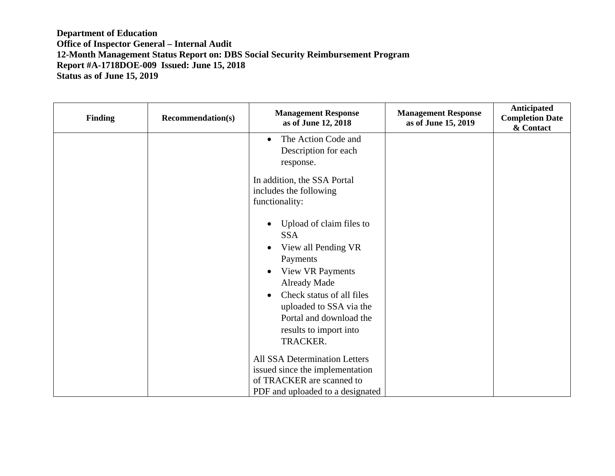| Finding | <b>Recommendation(s)</b> | <b>Management Response</b><br>as of June 12, 2018 | <b>Management Response</b><br>as of June 15, 2019 | Anticipated<br><b>Completion Date</b><br>& Contact |
|---------|--------------------------|---------------------------------------------------|---------------------------------------------------|----------------------------------------------------|
|         |                          | The Action Code and<br>$\bullet$                  |                                                   |                                                    |
|         |                          | Description for each                              |                                                   |                                                    |
|         |                          | response.                                         |                                                   |                                                    |
|         |                          | In addition, the SSA Portal                       |                                                   |                                                    |
|         |                          | includes the following                            |                                                   |                                                    |
|         |                          | functionality:                                    |                                                   |                                                    |
|         |                          | Upload of claim files to                          |                                                   |                                                    |
|         |                          | <b>SSA</b>                                        |                                                   |                                                    |
|         |                          | View all Pending VR                               |                                                   |                                                    |
|         |                          | Payments                                          |                                                   |                                                    |
|         |                          | <b>View VR Payments</b><br>$\bullet$              |                                                   |                                                    |
|         |                          | <b>Already Made</b>                               |                                                   |                                                    |
|         |                          | Check status of all files                         |                                                   |                                                    |
|         |                          | uploaded to SSA via the                           |                                                   |                                                    |
|         |                          | Portal and download the                           |                                                   |                                                    |
|         |                          | results to import into                            |                                                   |                                                    |
|         |                          | TRACKER.                                          |                                                   |                                                    |
|         |                          | <b>All SSA Determination Letters</b>              |                                                   |                                                    |
|         |                          | issued since the implementation                   |                                                   |                                                    |
|         |                          | of TRACKER are scanned to                         |                                                   |                                                    |
|         |                          | PDF and uploaded to a designated                  |                                                   |                                                    |